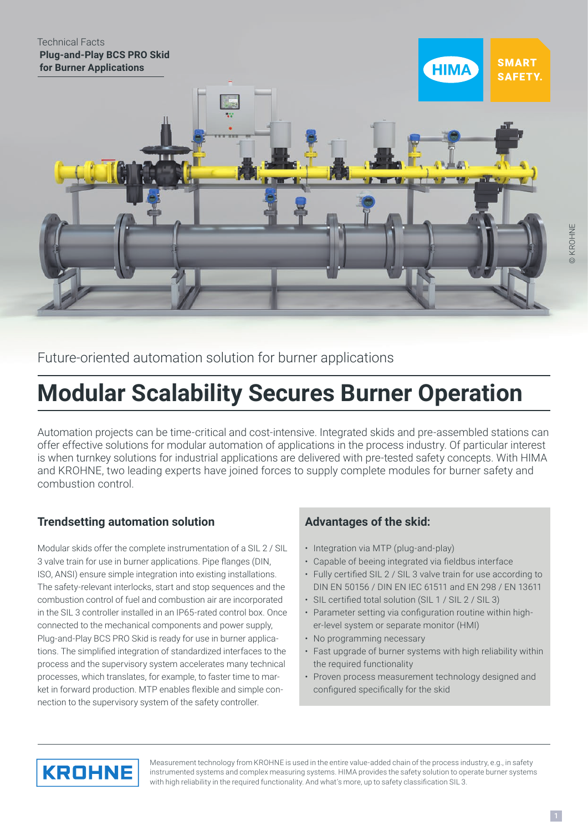### Technical Facts  **Plug-and-Play BCS PRO Skid for Burner Applications**



Future-oriented automation solution for burner applications

# **Modular Scalability Secures Burner Operation**

Automation projects can be time-critical and cost-intensive. Integrated skids and pre-assembled stations can offer effective solutions for modular automation of applications in the process industry. Of particular interest is when turnkey solutions for industrial applications are delivered with pre-tested safety concepts. With HIMA and KROHNE, two leading experts have joined forces to supply complete modules for burner safety and combustion control.

# **Trendsetting automation solution**

Modular skids offer the complete instrumentation of a SIL 2 / SIL 3 valve train for use in burner applications. Pipe flanges (DIN, ISO, ANSI) ensure simple integration into existing installations. The safety-relevant interlocks, start and stop sequences and the combustion control of fuel and combustion air are incorporated in the SIL 3 controller installed in an IP65-rated control box. Once connected to the mechanical components and power supply, Plug-and-Play BCS PRO Skid is ready for use in burner applications. The simplified integration of standardized interfaces to the process and the supervisory system accelerates many technical processes, which translates, for example, to faster time to market in forward production. MTP enables flexible and simple connection to the supervisory system of the safety controller.

# **Advantages of the skid:**

- Integration via MTP (plug-and-play)
- Capable of beeing integrated via fieldbus interface
- Fully certified SIL 2 / SIL 3 valve train for use according to DIN EN 50156 / DIN EN IEC 61511 and EN 298 / EN 13611
- SIL certified total solution (SIL 1 / SIL 2 / SIL 3)
- Parameter setting via configuration routine within higher-level system or separate monitor (HMI)
- No programming necessary
- Fast upgrade of burner systems with high reliability within the required functionality
- Proven process measurement technology designed and configured specifically for the skid



Measurement technology from KROHNE is used in the entire value-added chain of the process industry, e.g., in safety instrumented systems and complex measuring systems. HIMA provides the safety solution to operate burner systems with high reliability in the required functionality. And what's more, up to safety classification SIL 3.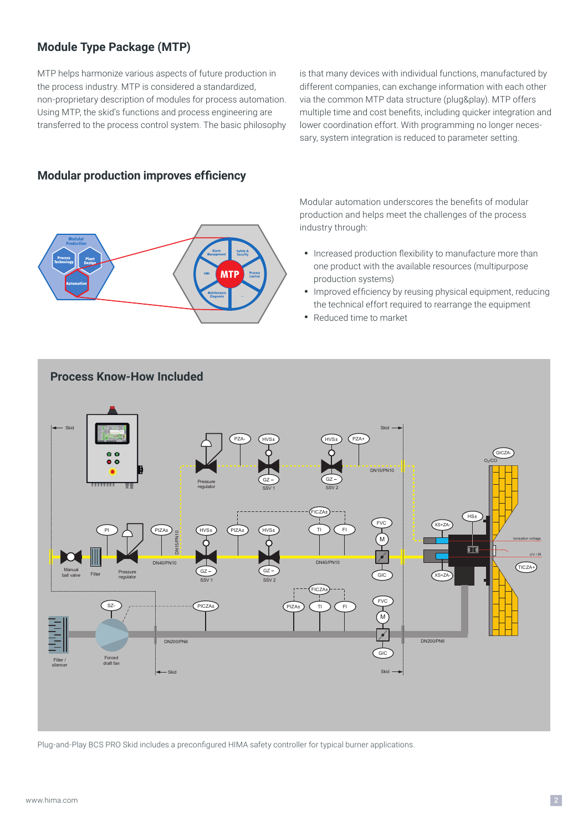## **Module Type Package (MTP)**

MTP helps harmonize various aspects of future production in the process industry. MTP is considered a standardized, non-proprietary description of modules for process automation. Using MTP, the skid's functions and process engineering are transferred to the process control system. The basic philosophy

is that many devices with individual functions, manufactured by different companies, can exchange information with each other via the common MTP data structure (plug&play). MTP offers multiple time and cost benefits, including quicker integration and lower coordination effort. With programming no longer necessary, system integration is reduced to parameter setting.

## **Modular production improves efficiency**



Modular automation underscores the benefits of modular production and helps meet the challenges of the process industry through:

- Increased production flexibility to manufacture more than one product with the available resources (multipurpose production systems)
- Improved efficiency by reusing physical equipment, reducing the technical effort required to rearrange the equipment
- Reduced time to market



Plug-and-Play BCS PRO Skid includes a preconfigured HIMA safety controller for typical burner applications.

## **Process Know-How Included**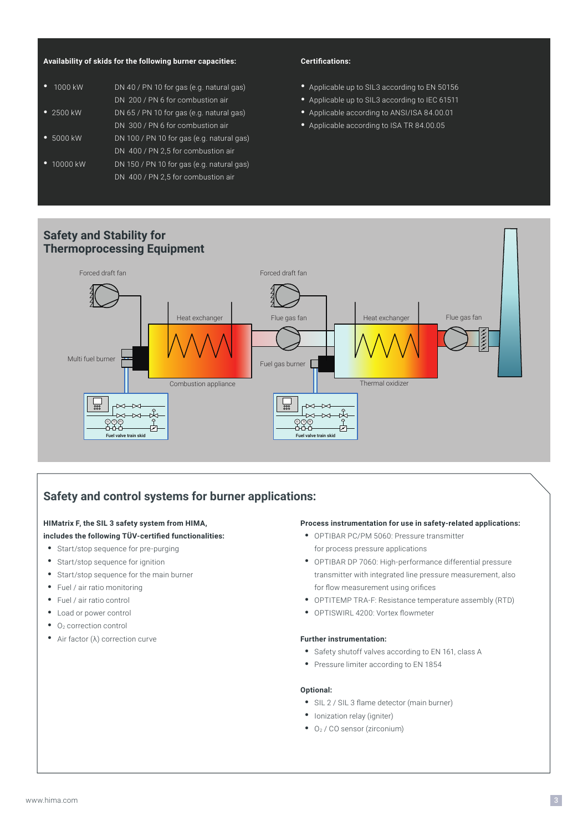#### **Availability of skids for the following burner capacities:**

| 1000 kW            | DN 40 / PN 10 for gas (e.g. natural gas)  |
|--------------------|-------------------------------------------|
|                    | DN 200 / PN 6 for combustion air          |
| $\bullet$ 2500 kW  | DN 65 / PN 10 for gas (e.g. natural gas)  |
|                    | DN 300 / PN 6 for combustion air          |
| $\bullet$ 5000 kW  | DN 100 / PN 10 for gas (e.g. natural gas) |
|                    | DN 400 / PN 2,5 for combustion air        |
| $\bullet$ 10000 kW | DN 150 / PN 10 for gas (e.g. natural gas) |
|                    | DN 400 / PN 2,5 for combustion air        |

#### **Certifications:**

- Applicable up to SIL3 according to EN 50156
- Applicable up to SIL3 according to IEC 61511
- Applicable according to ANSI/ISA 84.00.01
- Applicable according to ISA TR 84.00.05

## **Safety and Stability for Thermoprocessing Equipment**



## **Safety and control systems for burner applications:**

#### **HIMatrix F, the SIL 3 safety system from HIMA, includes the following TÜV-certified functionalities:**

## • Start/stop sequence for pre-purging

- Start/stop sequence for ignition
- Start/stop sequence for the main burner
- 
- Fuel / air ratio monitoring
- Fuel / air ratio control
- Load or power control
- $\bullet$  O<sub>2</sub> correction control
- Air factor (λ) correction curve

#### **Process instrumentation for use in safety-related applications:**

- OPTIBAR PC/PM 5060: Pressure transmitter for process pressure applications
- OPTIBAR DP 7060: High-performance differential pressure transmitter with integrated line pressure measurement, also for flow measurement using orifices
- OPTITEMP TRA-F: Resistance temperature assembly (RTD)
- OPTISWIRL 4200: Vortex flowmeter

#### **Further instrumentation:**

- Safety shutoff valves according to EN 161, class A
- Pressure limiter according to EN 1854

#### **Optional:**

- SIL 2 / SIL 3 flame detector (main burner)
- Ionization relay (igniter)
- O2 / CO sensor (zirconium)